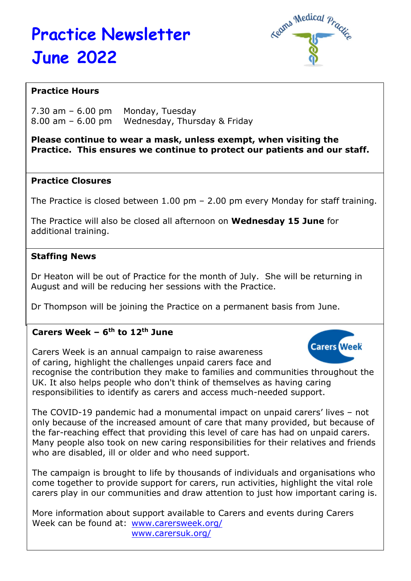# Practice Newsletter June 2022



## Practice Hours

 $7.30$  am  $-6.00$  pm Monday, Tuesday 8.00 am – 6.00 pm Wednesday, Thursday & Friday

#### Please continue to wear a mask, unless exempt, when visiting the Practice. This ensures we continue to protect our patients and our staff.

#### Practice Closures

The Practice is closed between 1.00 pm – 2.00 pm every Monday for staff training.

The Practice will also be closed all afternoon on Wednesday 15 June for additional training.

#### Staffing News

Dr Heaton will be out of Practice for the month of July. She will be returning in August and will be reducing her sessions with the Practice.

Dr Thompson will be joining the Practice on a permanent basis from June.

## Carers Week –  $6<sup>th</sup>$  to 12<sup>th</sup> June

**Carers Week** Carers Week is an annual campaign to raise awareness of caring, highlight the challenges unpaid carers face and recognise the contribution they make to families and communities throughout the UK. It also helps people who don't think of themselves as having caring responsibilities to identify as carers and access much-needed support.

The COVID-19 pandemic had a monumental impact on unpaid carers' lives – not only because of the increased amount of care that many provided, but because of the far-reaching effect that providing this level of care has had on unpaid carers. Many people also took on new caring responsibilities for their relatives and friends who are disabled, ill or older and who need support.

The campaign is brought to life by thousands of individuals and organisations who come together to provide support for carers, run activities, highlight the vital role carers play in our communities and draw attention to just how important caring is.

More information about support available to Carers and events during Carers Week can be found at: www.carersweek.org/ www.carersuk.org/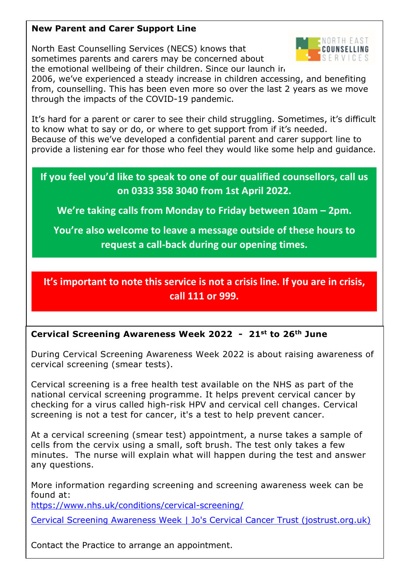### New Parent and Carer Support Line

North East Counselling Services (NECS) knows that sometimes parents and carers may be concerned about the emotional wellbeing of their children. Since our launch in



2006, we've experienced a steady increase in children accessing, and benefiting from, counselling. This has been even more so over the last 2 years as we move through the impacts of the COVID-19 pandemic.

It's hard for a parent or carer to see their child struggling. Sometimes, it's difficult to know what to say or do, or where to get support from if it's needed. Because of this we've developed a confidential parent and carer support line to provide a listening ear for those who feel they would like some help and guidance.

If you feel you'd like to speak to one of our qualified counsellors, call us on 0333 358 3040 from 1st April 2022.

We're taking calls from Monday to Friday between 10am – 2pm.

You're also welcome to leave a message outside of these hours to request a call-back during our opening times.

It's important to note this service is not a crisis line. If you are in crisis, call 111 or 999.

## Cervical Screening Awareness Week 2022 - 21st to 26th June

During Cervical Screening Awareness Week 2022 is about raising awareness of cervical screening (smear tests).

Cervical screening is a free health test available on the NHS as part of the national cervical screening programme. It helps prevent cervical cancer by checking for a virus called high-risk HPV and cervical cell changes. Cervical screening is not a test for cancer, it's a test to help prevent cancer.

At a cervical screening (smear test) appointment, a nurse takes a sample of cells from the cervix using a small, soft brush. The test only takes a few minutes. The nurse will explain what will happen during the test and answer any questions.

More information regarding screening and screening awareness week can be found at:

https://www.nhs.uk/conditions/cervical-screening/

Cervical Screening Awareness Week | Jo's Cervical Cancer Trust (jostrust.org.uk)

Contact the Practice to arrange an appointment.